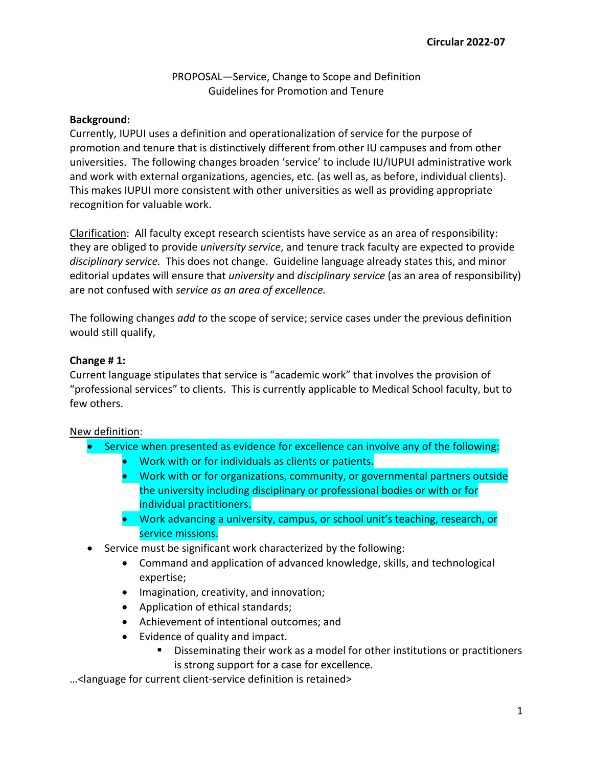# PROPOSAL—Service, Change to Scope and Definition Guidelines for Promotion and Tenure

## **Background:**

Currently, IUPUI uses a definition and operationalization of service for the purpose of promotion and tenure that is distinctively different from other IU campuses and from other universities. The following changes broaden 'service' to include IU/IUPUI administrative work and work with external organizations, agencies, etc. (as well as, as before, individual clients). This makes IUPUI more consistent with other universities as well as providing appropriate recognition for valuable work.

Clarification: All faculty except research scientists have service as an area of responsibility: they are obliged to provide *university service*, and tenure track faculty are expected to provide *disciplinary service.* This does not change. Guideline language already states this, and minor editorial updates will ensure that *university* and *disciplinary service* (as an area of responsibility) are not confused with *service as an area of excellence.* 

The following changes *add to* the scope of service; service cases under the previous definition would still qualify,

## **Change # 1:**

Current language stipulates that service is "academic work" that involves the provision of "professional services" to clients. This is currently applicable to Medical School faculty, but to few others.

## New definition:

- Service when presented as evidence for excellence can involve any of the following:
	- Work with or for individuals as clients or patients.
	- Work with or for organizations, community, or governmental partners outside the university including disciplinary or professional bodies or with or for individual practitioners.
	- Work advancing a university, campus, or school unit's teaching, research, or service missions.
- Service must be significant work characterized by the following:
	- Command and application of advanced knowledge, skills, and technological expertise;
	- Imagination, creativity, and innovation;
	- Application of ethical standards;
	- Achievement of intentional outcomes; and
	- Evidence of quality and impact.
		- Disseminating their work as a model for other institutions or practitioners is strong support for a case for excellence.

…<language for current client-service definition is retained>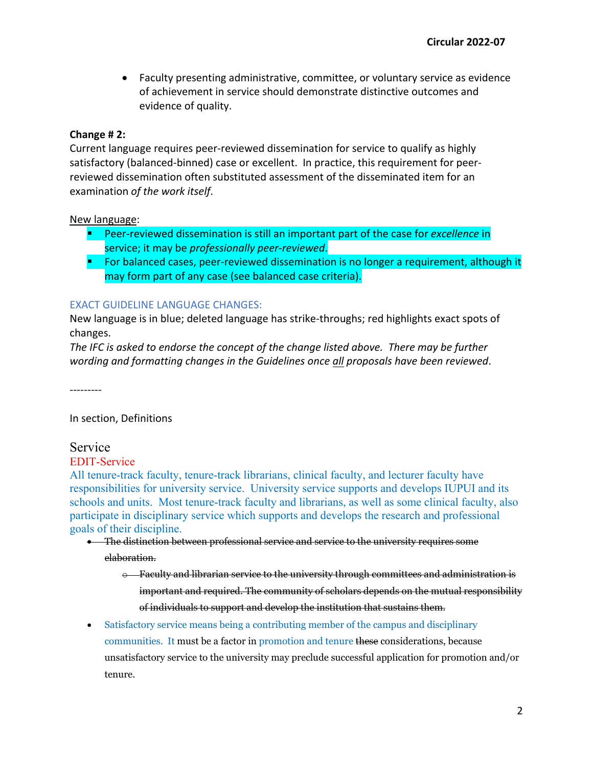• Faculty presenting administrative, committee, or voluntary service as evidence of achievement in service should demonstrate distinctive outcomes and evidence of quality.

## **Change # 2:**

Current language requires peer-reviewed dissemination for service to qualify as highly satisfactory (balanced-binned) case or excellent. In practice, this requirement for peerreviewed dissemination often substituted assessment of the disseminated item for an examination *of the work itself*.

## New language:

- Peer-reviewed dissemination is still an important part of the case for *excellence* in service; it may be *professionally peer-reviewed*.
- **For balanced cases, peer-reviewed dissemination is no longer a requirement, although it** may form part of any case (see balanced case criteria).

## EXACT GUIDELINE LANGUAGE CHANGES:

New language is in blue; deleted language has strike-throughs; red highlights exact spots of changes.

*The IFC is asked to endorse the concept of the change listed above. There may be further wording and formatting changes in the Guidelines once all proposals have been reviewed*.

---------

## In section, Definitions

Service

# EDIT-Service

All tenure-track faculty, tenure-track librarians, clinical faculty, and lecturer faculty have responsibilities for university service. University service supports and develops IUPUI and its schools and units. Most tenure-track faculty and librarians, as well as some clinical faculty, also participate in disciplinary service which supports and develops the research and professional goals of their discipline.

- The distinction between professional service and service to the university requires some elaboration.
	- o Faculty and librarian service to the university through committees and administration is important and required. The community of scholars depends on the mutual responsibility of individuals to support and develop the institution that sustains them.
- Satisfactory service means being a contributing member of the campus and disciplinary communities. It must be a factor in promotion and tenure these considerations, because unsatisfactory service to the university may preclude successful application for promotion and/or tenure.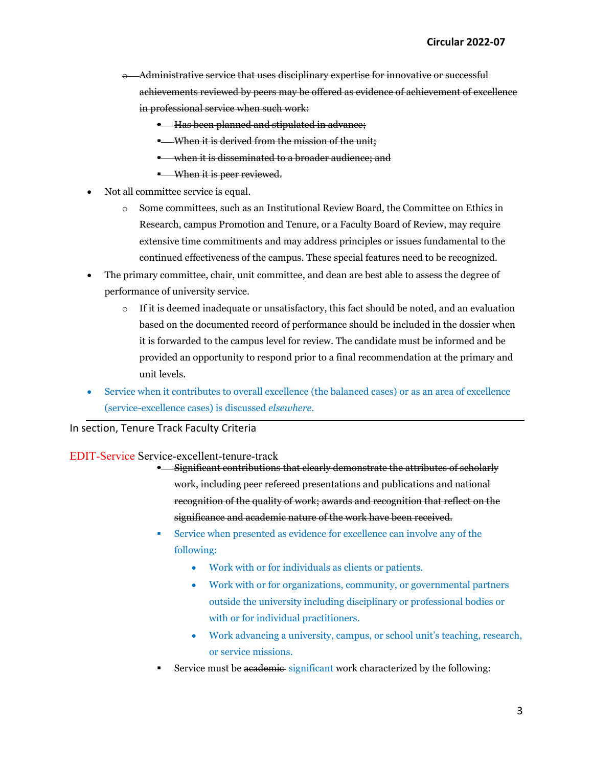- o Administrative service that uses disciplinary expertise for innovative or successful achievements reviewed by peers may be offered as evidence of achievement of excellence in professional service when such work:
	- **Has been planned and stipulated in advance;**
	- **When it is derived from the mission of the unit:**
	- when it is disseminated to a broader audience; and
	- **When it is peer reviewed.**
- Not all committee service is equal.
	- o Some committees, such as an Institutional Review Board, the Committee on Ethics in Research, campus Promotion and Tenure, or a Faculty Board of Review, may require extensive time commitments and may address principles or issues fundamental to the continued effectiveness of the campus. These special features need to be recognized.
- The primary committee, chair, unit committee, and dean are best able to assess the degree of performance of university service.
	- $\circ$  If it is deemed inadequate or unsatisfactory, this fact should be noted, and an evaluation based on the documented record of performance should be included in the dossier when it is forwarded to the campus level for review. The candidate must be informed and be provided an opportunity to respond prior to a final recommendation at the primary and unit levels.
- Service when it contributes to overall excellence (the balanced cases) or as an area of excellence (service-excellence cases) is discussed *elsewhere.*

### In section, Tenure Track Faculty Criteria

#### EDIT-Service Service-excellent-tenure-track

- **E** Significant contributions that clearly demonstrate the attributes of scholarly work, including peer refereed presentations and publications and national recognition of the quality of work; awards and recognition that reflect on the significance and academic nature of the work have been received.
- Service when presented as evidence for excellence can involve any of the following:
	- Work with or for individuals as clients or patients.
	- Work with or for organizations, community, or governmental partners outside the university including disciplinary or professional bodies or with or for individual practitioners.
	- Work advancing a university, campus, or school unit's teaching, research, or service missions.
- Service must be academic significant work characterized by the following: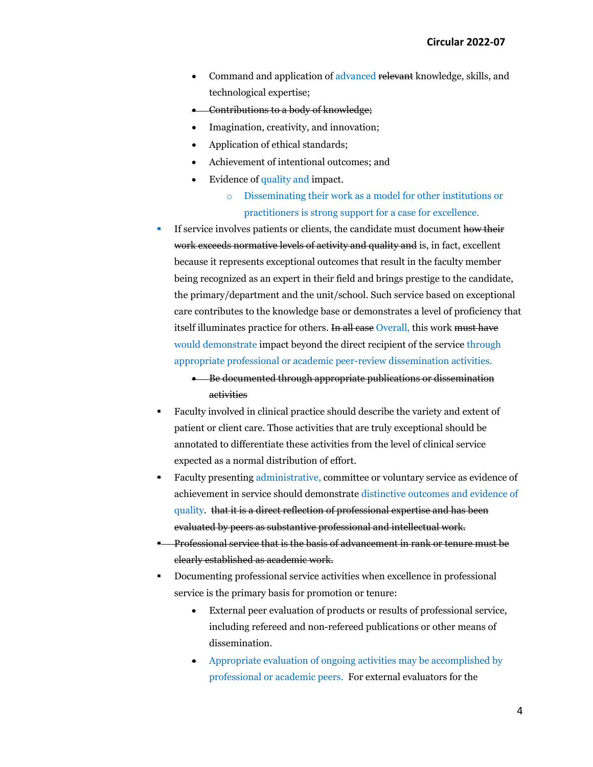- Command and application of advanced relevant knowledge, skills, and technological expertise;
- Contributions to a body of knowledge;
- Imagination, creativity, and innovation;
- Application of ethical standards;
- Achievement of intentional outcomes; and
- Evidence of quality and impact.
	- o Disseminating their work as a model for other institutions or practitioners is strong support for a case for excellence.
- If service involves patients or clients, the candidate must document how their work exceeds normative levels of activity and quality and is, in fact, excellent because it represents exceptional outcomes that result in the faculty member being recognized as an expert in their field and brings prestige to the candidate, the primary/department and the unit/school. Such service based on exceptional care contributes to the knowledge base or demonstrates a level of proficiency that itself illuminates practice for others. In all case Overall, this work must have would demonstrate impact beyond the direct recipient of the service through appropriate professional or academic peer-review dissemination activities.
	- Be documented through appropriate publications or dissemination activities
- Faculty involved in clinical practice should describe the variety and extent of patient or client care. Those activities that are truly exceptional should be annotated to differentiate these activities from the level of clinical service expected as a normal distribution of effort.
- Faculty presenting administrative, committee or voluntary service as evidence of achievement in service should demonstrate distinctive outcomes and evidence of quality. that it is a direct reflection of professional expertise and has been evaluated by peers as substantive professional and intellectual work.
- **-** Professional service that is the basis of advancement in rank or tenure must be clearly established as academic work.
- Documenting professional service activities when excellence in professional service is the primary basis for promotion or tenure:
	- External peer evaluation of products or results of professional service, including refereed and non-refereed publications or other means of dissemination.
	- Appropriate evaluation of ongoing activities may be accomplished by professional or academic peers. For external evaluators for the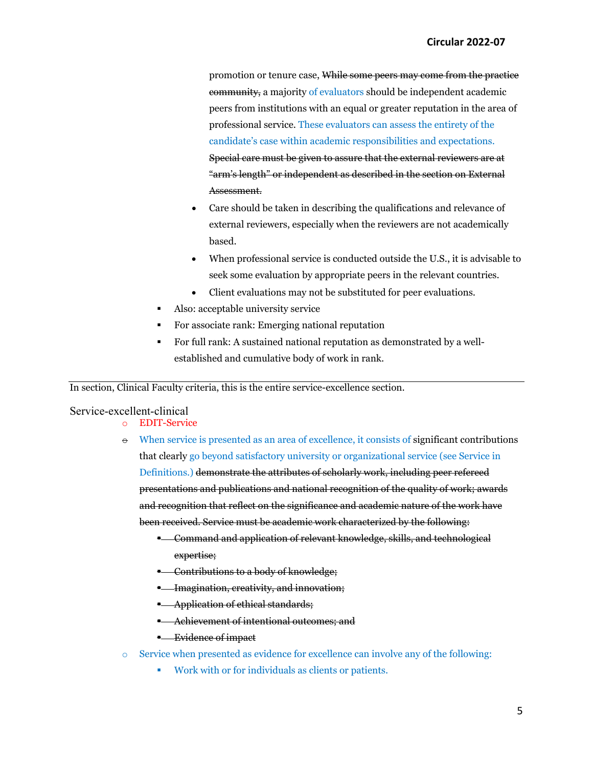promotion or tenure case, While some peers may come from the practice community, a majority of evaluators should be independent academic peers from institutions with an equal or greater reputation in the area of professional service. These evaluators can assess the entirety of the candidate's case within academic responsibilities and expectations. Special care must be given to assure that the external reviewers are at "arm's length" or independent as described in the section on External Assessment.

- Care should be taken in describing the qualifications and relevance of external reviewers, especially when the reviewers are not academically based.
- When professional service is conducted outside the U.S., it is advisable to seek some evaluation by appropriate peers in the relevant countries.
- Client evaluations may not be substituted for peer evaluations.
- Also: acceptable university service
- For associate rank: Emerging national reputation
- For full rank: A sustained national reputation as demonstrated by a wellestablished and cumulative body of work in rank.

In section, Clinical Faculty criteria, this is the entire service-excellence section.

#### Service-excellent-clinical

- o EDIT-Service
- $\Theta$  When service is presented as an area of excellence, it consists of significant contributions that clearly go beyond satisfactory university or organizational service (see Service in Definitions.) demonstrate the attributes of scholarly work, including peer refereed presentations and publications and national recognition of the quality of work; awards and recognition that reflect on the significance and academic nature of the work have been received. Service must be academic work characterized by the following:
	- \* Command and application of relevant knowledge, skills, and technological expertise;
	- **EXCONDUM** Contributions to a body of knowledge;
	- **E** Imagination, creativity, and innovation;
	- **Application of ethical standards;**
	- **-** Achievement of intentional outcomes; and
	- **Evidence of impact**
- o Service when presented as evidence for excellence can involve any of the following:
	- Work with or for individuals as clients or patients.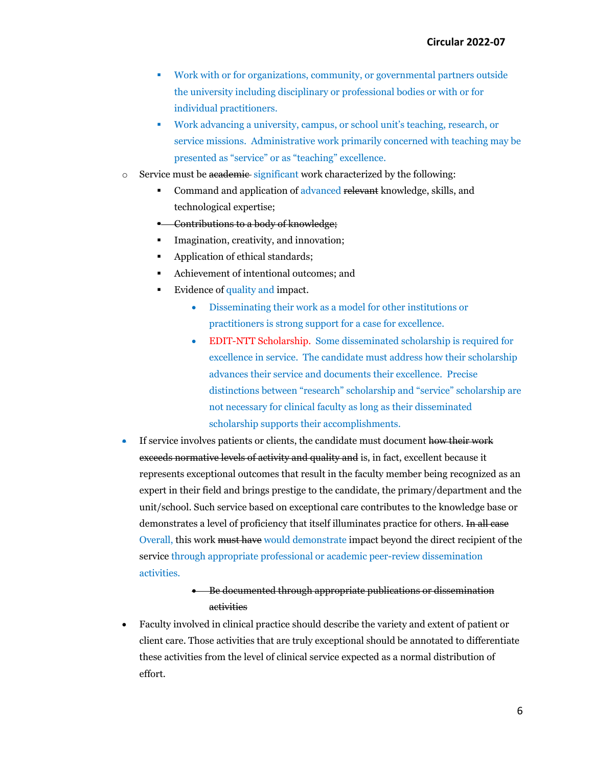- Work with or for organizations, community, or governmental partners outside the university including disciplinary or professional bodies or with or for individual practitioners.
- Work advancing a university, campus, or school unit's teaching, research, or service missions. Administrative work primarily concerned with teaching may be presented as "service" or as "teaching" excellence.
- $\circ$  Service must be academic significant work characterized by the following:
	- Command and application of advanced relevant knowledge, skills, and technological expertise;
	- **Contributions to a body of knowledge;**
	- Imagination, creativity, and innovation;
	- Application of ethical standards;
	- Achievement of intentional outcomes; and
	- Evidence of quality and impact.
		- Disseminating their work as a model for other institutions or practitioners is strong support for a case for excellence.
		- EDIT-NTT Scholarship. Some disseminated scholarship is required for excellence in service. The candidate must address how their scholarship advances their service and documents their excellence. Precise distinctions between "research" scholarship and "service" scholarship are not necessary for clinical faculty as long as their disseminated scholarship supports their accomplishments.
- If service involves patients or clients, the candidate must document how their work exceeds normative levels of activity and quality and is, in fact, excellent because it represents exceptional outcomes that result in the faculty member being recognized as an expert in their field and brings prestige to the candidate, the primary/department and the unit/school. Such service based on exceptional care contributes to the knowledge base or demonstrates a level of proficiency that itself illuminates practice for others. <del>In all case</del> Overall, this work must have would demonstrate impact beyond the direct recipient of the service through appropriate professional or academic peer-review dissemination activities.

# • Be documented through appropriate publications or dissemination activities

• Faculty involved in clinical practice should describe the variety and extent of patient or client care. Those activities that are truly exceptional should be annotated to differentiate these activities from the level of clinical service expected as a normal distribution of effort.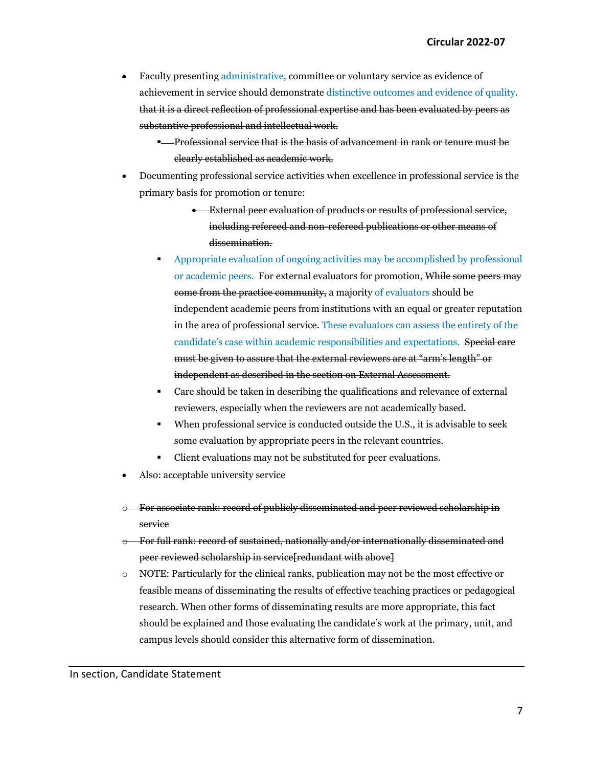- Faculty presenting administrative, committee or voluntary service as evidence of achievement in service should demonstrate distinctive outcomes and evidence of quality. that it is a direct reflection of professional expertise and has been evaluated by peers as substantive professional and intellectual work.
	- **Professional service that is the basis of advancement in rank or tenure must be** clearly established as academic work.
- Documenting professional service activities when excellence in professional service is the primary basis for promotion or tenure:
	- External peer evaluation of products or results of professional service, including refereed and non-refereed publications or other means of dissemination.
	- Appropriate evaluation of ongoing activities may be accomplished by professional or academic peers. For external evaluators for promotion, While some peers may come from the practice community, a majority of evaluators should be independent academic peers from institutions with an equal or greater reputation in the area of professional service. These evaluators can assess the entirety of the candidate's case within academic responsibilities and expectations. Special care must be given to assure that the external reviewers are at "arm's length" or independent as described in the section on External Assessment.
	- Care should be taken in describing the qualifications and relevance of external reviewers, especially when the reviewers are not academically based.
	- When professional service is conducted outside the U.S., it is advisable to seek some evaluation by appropriate peers in the relevant countries.
	- Client evaluations may not be substituted for peer evaluations.
- Also: acceptable university service
- o For associate rank: record of publicly disseminated and peer reviewed scholarship in service
- o For full rank: record of sustained, nationally and/or internationally disseminated and peer reviewed scholarship in service[redundant with above]
- o NOTE: Particularly for the clinical ranks, publication may not be the most effective or feasible means of disseminating the results of effective teaching practices or pedagogical research. When other forms of disseminating results are more appropriate, this fact should be explained and those evaluating the candidate's work at the primary, unit, and campus levels should consider this alternative form of dissemination.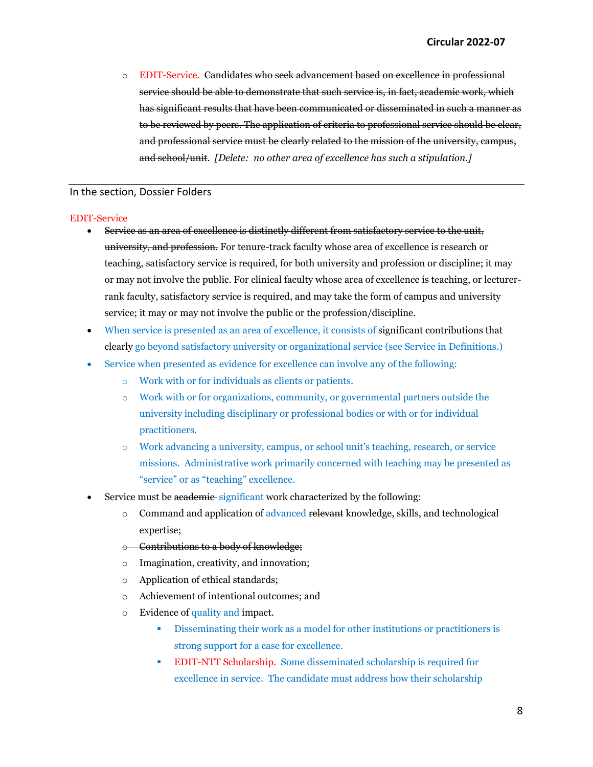o EDIT-Service. Candidates who seek advancement based on excellence in professional service should be able to demonstrate that such service is, in fact, academic work, which has significant results that have been communicated or disseminated in such a manner as to be reviewed by peers. The application of criteria to professional service should be clear, and professional service must be clearly related to the mission of the university, campus, and school/unit. *[Delete: no other area of excellence has such a stipulation.]*

#### In the section, Dossier Folders

#### EDIT-Service

- Service as an area of excellence is distinctly different from satisfactory service to the unit, university, and profession. For tenure-track faculty whose area of excellence is research or teaching, satisfactory service is required, for both university and profession or discipline; it may or may not involve the public. For clinical faculty whose area of excellence is teaching, or lecturerrank faculty, satisfactory service is required, and may take the form of campus and university service; it may or may not involve the public or the profession/discipline.
- When service is presented as an area of excellence, it consists of significant contributions that clearly go beyond satisfactory university or organizational service (see Service in Definitions.)
- Service when presented as evidence for excellence can involve any of the following:
	- o Work with or for individuals as clients or patients.
	- o Work with or for organizations, community, or governmental partners outside the university including disciplinary or professional bodies or with or for individual practitioners.
	- o Work advancing a university, campus, or school unit's teaching, research, or service missions. Administrative work primarily concerned with teaching may be presented as "service" or as "teaching" excellence.
- Service must be academic significant work characterized by the following:
	- $\circ$  Command and application of advanced relevant knowledge, skills, and technological expertise;
	- o Contributions to a body of knowledge;
	- o Imagination, creativity, and innovation;
	- o Application of ethical standards;
	- o Achievement of intentional outcomes; and
	- o Evidence of quality and impact.
		- Disseminating their work as a model for other institutions or practitioners is strong support for a case for excellence.
		- EDIT-NTT Scholarship. Some disseminated scholarship is required for excellence in service. The candidate must address how their scholarship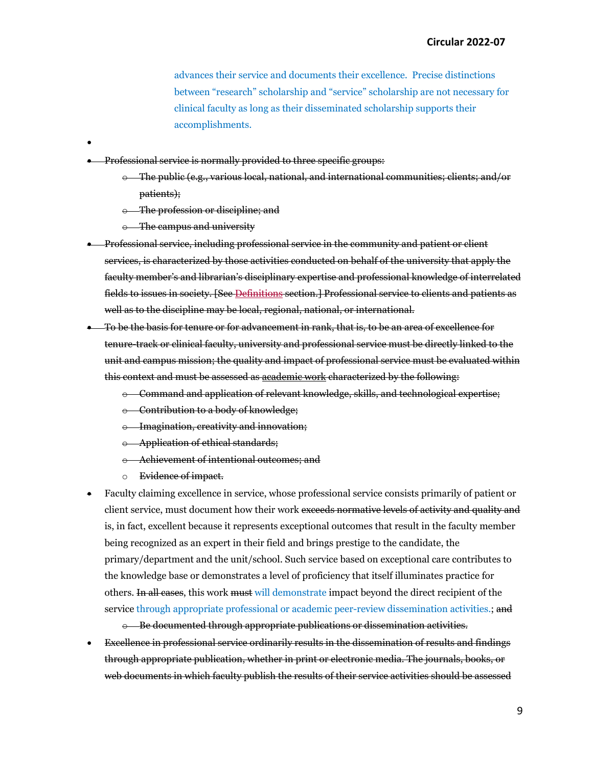advances their service and documents their excellence. Precise distinctions between "research" scholarship and "service" scholarship are not necessary for clinical faculty as long as their disseminated scholarship supports their accomplishments.

- Professional service is normally provided to three specific groups:
	- o The public (e.g., various local, national, and international communities; clients; and/or patients);
	- o The profession or discipline; and
	- o The campus and university

•

- Professional service, including professional service in the community and patient or client services, is characterized by those activities conducted on behalf of the university that apply the faculty member's and librarian's disciplinary expertise and professional knowledge of interrelated fields to issues in society. [See Definitions section.] Professional service to clients and patients as well as to the discipline may be local, regional, national, or international.
- To be the basis for tenure or for advancement in rank, that is, to be an area of excellence for tenure-track or clinical faculty, university and professional service must be directly linked to the unit and campus mission; the quality and impact of professional service must be evaluated within this context and must be assessed as academic work characterized by the following:
	- o Command and application of relevant knowledge, skills, and technological expertise;
	- o Contribution to a body of knowledge;
	- o Imagination, creativity and innovation;
	- o Application of ethical standards;
	- o Achievement of intentional outcomes; and
	- o Evidence of impact.
- Faculty claiming excellence in service, whose professional service consists primarily of patient or client service, must document how their work exceeds normative levels of activity and quality and is, in fact, excellent because it represents exceptional outcomes that result in the faculty member being recognized as an expert in their field and brings prestige to the candidate, the primary/department and the unit/school. Such service based on exceptional care contributes to the knowledge base or demonstrates a level of proficiency that itself illuminates practice for others. In all cases, this work must will demonstrate impact beyond the direct recipient of the service through appropriate professional or academic peer-review dissemination activities.; and

o Be documented through appropriate publications or dissemination activities.

• Excellence in professional service ordinarily results in the dissemination of results and findings through appropriate publication, whether in print or electronic media. The journals, books, or web documents in which faculty publish the results of their service activities should be assessed